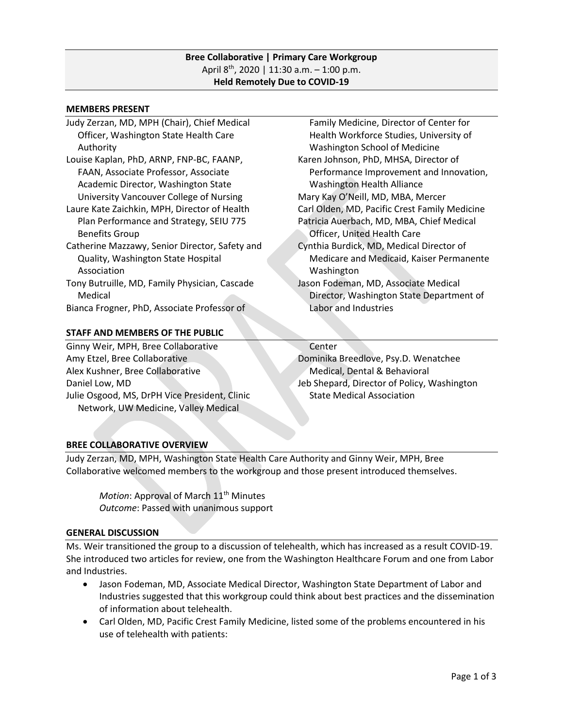## **Bree Collaborative | Primary Care Workgroup** April  $8^{th}$ , 2020 | 11:30 a.m. - 1:00 p.m. **Held Remotely Due to COVID-19**

#### **MEMBERS PRESENT**

- Judy Zerzan, MD, MPH (Chair), Chief Medical Officer, Washington State Health Care Authority Louise Kaplan, PhD, ARNP, FNP-BC, FAANP, FAAN, Associate Professor, Associate Academic Director, Washington State University Vancouver College of Nursing Laure Kate Zaichkin, MPH, Director of Health Plan Performance and Strategy, SEIU 775 Benefits Group Catherine Mazzawy, Senior Director, Safety and Quality, Washington State Hospital
- Association Tony Butruille, MD, Family Physician, Cascade
- Medical Bianca Frogner, PhD, Associate Professor of

## **STAFF AND MEMBERS OF THE PUBLIC**

Ginny Weir, MPH, Bree Collaborative Amy Etzel, Bree Collaborative Alex Kushner, Bree Collaborative Daniel Low, MD Julie Osgood, MS, DrPH Vice President, Clinic Network, UW Medicine, Valley Medical

 Family Medicine, Director of Center for Health Workforce Studies, University of Washington School of Medicine Karen Johnson, PhD, MHSA, Director of Performance Improvement and Innovation, Washington Health Alliance Mary Kay O'Neill, MD, MBA, Mercer Carl Olden, MD, Pacific Crest Family Medicine Patricia Auerbach, MD, MBA, Chief Medical Officer, United Health Care Cynthia Burdick, MD, Medical Director of Medicare and Medicaid, Kaiser Permanente Washington Jason Fodeman, MD, Associate Medical Director, Washington State Department of Labor and Industries

### **Center**

Dominika Breedlove, Psy.D. Wenatchee Medical, Dental & Behavioral Jeb Shepard, Director of Policy, Washington State Medical Association

# **BREE COLLABORATIVE OVERVIEW**

Judy Zerzan, MD, MPH, Washington State Health Care Authority and Ginny Weir, MPH, Bree Collaborative welcomed members to the workgroup and those present introduced themselves.

*Motion*: Approval of March 11<sup>th</sup> Minutes *Outcome*: Passed with unanimous support

## **GENERAL DISCUSSION**

Ms. Weir transitioned the group to a discussion of telehealth, which has increased as a result COVID-19. She introduced two articles for review, one from the Washington Healthcare Forum and one from Labor and Industries.

- Jason Fodeman, MD, Associate Medical Director, Washington State Department of Labor and Industries suggested that this workgroup could think about best practices and the dissemination of information about telehealth.
- Carl Olden, MD, Pacific Crest Family Medicine, listed some of the problems encountered in his use of telehealth with patients: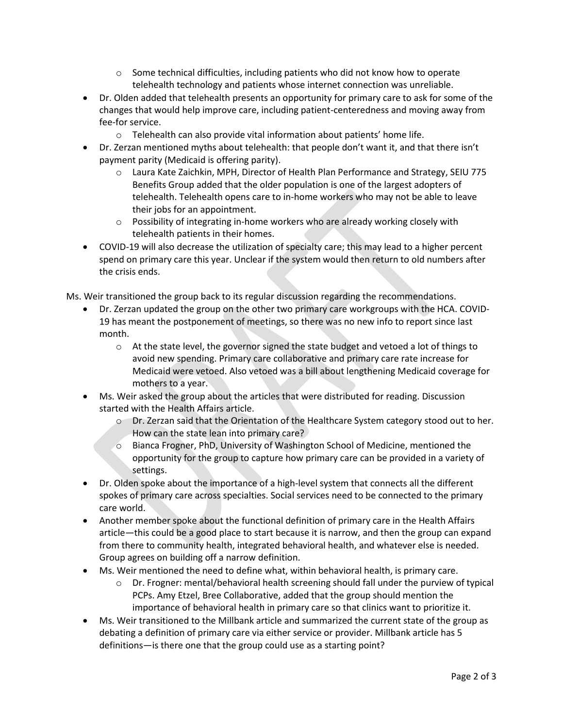- $\circ$  Some technical difficulties, including patients who did not know how to operate telehealth technology and patients whose internet connection was unreliable.
- Dr. Olden added that telehealth presents an opportunity for primary care to ask for some of the changes that would help improve care, including patient-centeredness and moving away from fee-for service.
	- o Telehealth can also provide vital information about patients' home life.
- Dr. Zerzan mentioned myths about telehealth: that people don't want it, and that there isn't payment parity (Medicaid is offering parity).
	- o Laura Kate Zaichkin, MPH, Director of Health Plan Performance and Strategy, SEIU 775 Benefits Group added that the older population is one of the largest adopters of telehealth. Telehealth opens care to in-home workers who may not be able to leave their jobs for an appointment.
	- o Possibility of integrating in-home workers who are already working closely with telehealth patients in their homes.
- COVID-19 will also decrease the utilization of specialty care; this may lead to a higher percent spend on primary care this year. Unclear if the system would then return to old numbers after the crisis ends.

Ms. Weir transitioned the group back to its regular discussion regarding the recommendations.

- Dr. Zerzan updated the group on the other two primary care workgroups with the HCA. COVID-19 has meant the postponement of meetings, so there was no new info to report since last month.
	- $\circ$  At the state level, the governor signed the state budget and vetoed a lot of things to avoid new spending. Primary care collaborative and primary care rate increase for Medicaid were vetoed. Also vetoed was a bill about lengthening Medicaid coverage for mothers to a year.
- Ms. Weir asked the group about the articles that were distributed for reading. Discussion started with the Health Affairs article.
	- o Dr. Zerzan said that the Orientation of the Healthcare System category stood out to her. How can the state lean into primary care?
	- o Bianca Frogner, PhD, University of Washington School of Medicine, mentioned the opportunity for the group to capture how primary care can be provided in a variety of settings.
- Dr. Olden spoke about the importance of a high-level system that connects all the different spokes of primary care across specialties. Social services need to be connected to the primary care world.
- Another member spoke about the functional definition of primary care in the Health Affairs article—this could be a good place to start because it is narrow, and then the group can expand from there to community health, integrated behavioral health, and whatever else is needed. Group agrees on building off a narrow definition.
- Ms. Weir mentioned the need to define what, within behavioral health, is primary care.
	- o Dr. Frogner: mental/behavioral health screening should fall under the purview of typical PCPs. Amy Etzel, Bree Collaborative, added that the group should mention the importance of behavioral health in primary care so that clinics want to prioritize it.
- Ms. Weir transitioned to the Millbank article and summarized the current state of the group as debating a definition of primary care via either service or provider. Millbank article has 5 definitions—is there one that the group could use as a starting point?